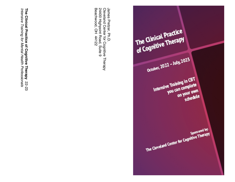The Clinical Practice The Clinical Practice October, 2022 - July, 2023 Intensive Training in CBT<br>Intensive Training in CBT ve Training in Level<br>you can complete can compression<br>on your own schedule Sponsored by: Sponsored by:<br>The Cleveland Center for Cognitive Therapy

24400 Highpoint Road, Suite 9<br>Beachwood, OH 44122 James Pretzer, Ph.D.<br>Cleveland Center for Cognitive Therapy James Pretzer, Ph.D. Beachwood, OH 44122 24400 Highpoint Road, Suite 9 Cleveland Center for Cognitive Therapy

Intensive Training for Mental Health Professionals The Clinical Practice of Cognitive Therapy 22-23 **The Clinical Practice of Cognitive Therapy**  *Intensive Training for Mental Health Professionals*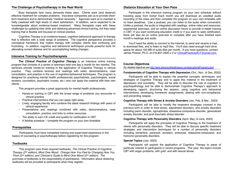### **The Challenge of Psychotherapy in the Real World**

Busy therapists face many demands these days. Clients want (and deserve) effective treatment for complex problems. Insurance companies ask us to provide shortterm treatment and to demonstrate "medical necessity." Agencies want us to maintain a hefty caseload with high levels of client satisfaction. In addition, we're expected to be knowledgeable about evidence-based treatment. Many therapists cope with these challenges by updating their skills and obtaining advanced clinical training, but they need training that is flexible and focused on clinical practice.

Cognitive Therapy is an evidence-based, cognitive-behavioral approach to therapy that is effective with a wide range of problems. The cognitive perspective provides a conceptual framework that makes therapy with complex clients less confusing and frustrating. In addition, cognitive and behavioral techniques provide powerful tools for alleviating current distress and for accomplishing lasting changes.

#### **Intensive Training for Psychotherapists**

**The** *Clinical Practice of Cognitive Therapy* is an intensive online training program that consists of a series of seminars held one day a month for ten months. The seminars provide hands-on training in the application of Cognitive Therapy in clinical practice. They combine lectures and readings with video, demonstrations, case consultation, and practice in the use of cognitive-behavioral techniques. The program is designed for practicing mental health professionals (psychiatrists, psychologists, social workers, counselors, psychiatric nurses, etc.) who can apply the material with their own clients.

This program provides a great opportunity for mental health professionals:

- Hands-on training in CBT with the broad range of problems you encounter in clinical practice.
- Practical interventions that you can apply right away.
- Lively, engaging faculty who combine the latest research findings with years of clinical experience.
- Presentations and readings combined with video, demonstrations, case consultation, practice, and links to online resources.
- The ability to earn CE credit and qualify for certification in CBT.
- $\cdot$  A flexible schedule complete the program on your own timetable

#### **Prerequisites**

Participants must have completed training and supervised experience in the basics of counseling or psychotherapy before registering for this program.

### **Textbooks**

This program uses three required textbooks, *The Clinical Practice of Cognitive Therapy (2nd edition)*, *Mind Over Mood: Change How You Feel by Changing How You Think (2nd edition)*, and *Clinician's Guide to Mind Over Mood (2nd edition)*. The purchase of textbooks is the responsibility of participants. Information about obtaining textbooks will be provided to participants when they register.

### **Distance Education at Your Own Pace**

Participate in the intensive training program on your own schedule without traveling away from home! Each month you will download an unedited audio recording of the class and then complete the program on your own timetable with no fixed deadlines. Like a podcast, you can listen to the audio when convenient. Unlike a podcast, the audio is integrated with readings, online video and resources, experiential exercises, and an online discussion forum to provide in-depth training in CBT. If you want continuing education credit or if you want to seek certification, there will also be an online post-test to complete after you have finished each month's readings and audio.

You'll need the ability to connect to the Internet, to send and receive e-mail, to download files, and to listen to mp3 files. You'll also need enough hard drive space for about 150 MB of audio files per month. If you have questions, contact James Pretzer, Ph.D. at 216-831-2500 x 2 or ClinicalPracticeofCT@gmail.com.

### **Course Objectives**

(for detailed objectives see http://www.behavioralhealthassoc.com/educationalPrograms.php)

#### **Fundamentals of Cognitive Therapy with Depression** (Oct., Nov., & Dec, 2022)

Participants will be able to explain the essential concepts, techniques, and strategies of Cognitive Therapy and to apply this material in the treatment of depression and suicidality. They will be able to describe the role of cognition in psychopathology and be able to demonstrate Cognitive Therapy's approach to developing rapport, structuring the session, using cognitive and behavioral interventions, developing homework assignments, dealing with non-compliance, and preventing relapse.

#### **Cognitive Therapy with Stress & Anxiety Disorders** (Jan, Feb, & Mar., 2023)

Participants will be able to modify the treatment strategies covered in the previous term in order to treat stress, adjustment disorders, and anxiety disorders including panic disorder, agoraphobia, obsessive-compulsive disorder, generalized anxiety disorder, and post-traumatic stress disorder.

#### **Cognitive Therapy with Personality Disorders** (April, May, & June, 2023)

Participants will apply the principles of Cognitive Therapy to the treatment of clients with personality disorders. They will be able to discuss specific treatment strategies and intervention techniques for a number of personality disorders including borderline, paranoid, avoidant, antisocial, obsessive-compulsive, and histrionic personality disorders.

#### **Special Topics** (July, 2023)

Participants will explore the application of Cognitive Therapy to areas of particular interest to participants in recent programs. This year, the topics include CBT with anger problems, with grief, and with sexual abuse.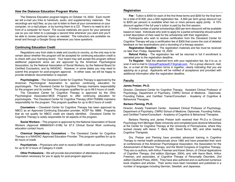### **How the Distance Education Program Works**

The Distance Education program begins on October 19, 2022. Each month we will e-mail you links to handouts, audio, and supplementary materials. The recordings are mp3 files, so you can to listen to them at your convenience on your computer, on a mp3 player, or by burning them to a CD. There's no need to sit in front of a computer for hours! The course materials are yours for your personal use so you can listen to a passage a second time whenever you want and you'll be able to review particular topics as needed. The instructors are available via email and through a Google Group whenever you have questions.

### **Continuing Education Credit**

Regulations vary from state to state and country to country, so the only way to be certain about whether this program will be accepted for continuing education credit is to check with your licensing board. Your board may well accept this program without additional paperwork since we are approved by the American Psychological Association, by the National Association of Social Workers, by the National Board for Certified Counselors, and by NAADAC. However, in some states you may need to submit this program for post-program approval. In either case, we will be happy to provide whatever documentation is required.

**Psychologists** *–* The Cleveland Center for Cognitive Therapy is approved by the American Psychological Association to sponsor continuing education for psychologists. The Cleveland Center for Cognitive Therapy maintains responsibility for the program and its content. This program qualifies for up to 69.5 hours of credit.

The Cleveland Center for Cognitive Therapy is approved by the Ohio Psychological Association-MCE Program to offer continuing education for psychologists. The Cleveland Center for Cognitive Therapy (#341753069) maintains responsibility for the program. This program qualifies for up to 69.5 hours of credit.

**Counselors –** Cleveland Center for Cognitive Therapy has been approved by NBCC as an Approved Continuing Education provider, ACEP No. 6889. Programs that do not qualify for NBCC credit are clearly identified. Cleveland Center for Cognitive Therapy is solely responsible for all aspects of the program.

**Social Workers** – This program is approved by the National Association of Social Workers (Approval #886603241-3196) for 67.5 Clinical Social Work continuing education contact hours.

**Chemical Dependency Counselors** – The Cleveland Center for Cognitive Therapy is a NAADAC Approved Education Provider. This program qualifies for up to 60 hours of credit.

**Psychiatrists** – Physicians who wish to receive CME credit can use this program for up to 67.5 hours of Category II credit.

**Other Professions** – We will provide documentation of attendance and any other information necessary for you to apply for post-program approval.

#### **Registration**

**Fee** - Tuition is \$400 for each of the first three terms and \$200 for the final term for a total of \$1400, plus a \$50 registration fee. A \$50 per term group discount (up to \$200 per person) is available when two or more persons apply jointly. A 10% discount applies if the full year's tuition is paid by the first session.

A limited number of partial scholarships (\$50 per term discount) will be available based on need. Individuals who wish to apply for a partial scholarship should submit a brief description of their need for the scholarship with their registration.

Participants who wish to receive certification from the Cleveland Center for Cognitive Therapy will pay a certification fee of \$300 that covers the cost of detailed feedback on two examinations and a recording of a therapy session.

**Registration Deadline** – The registration materials and fee must be received no later than *Friday, September 16, 2022.*

**Refund Policy** - The registration fee will be returned in full if enrollment is canceled prior to the registration deadline.

**To Register** - Mail the attached form with your registration fee, fax it to us, or scan it and e-mail to ClinicalPracticeofCT@gmail.com. *For a group discount, mail, fax, or e-mail all the registration forms in together, clearly indicating that you are applying as a group.* Applicants will be notified of acceptance and provided with additional information after the registration deadline.

### **Faculty**

#### **James Pretzer, Ph.D.**

Director, Cleveland Center for Cognitive Therapy. Assistant Clinical Professor of Psychology, Department of Psychiatry, CWRU School of Medicine. Diplomate, Founding Fellow, and Certified Trainer/Consultant - Academy of Cognitive & Behavioral Therapies.

#### **Barbara Fleming, Ph.D.**

Director, Anxiety Treatment Center. Assistant Clinical Professor of Psychology, Department of Psychiatry, CWRU School of Medicine. Diplomate, Founding Fellow, and Certified Trainer/Consultant - Academy of Cognitive & Behavioral Therapies.

Barbara Fleming and James Pretzer both received their Ph.D.s in Clinical Psychology from Michigan State University and completed post-doctoral fellowships at the Center for Cognitive Therapy at the University of Pennsylvania, where they worked closely with Aaron T. Beck, MD, David Burns, MD, and other leading Cognitive Therapists.

Drs. Pretzer and Fleming have provided advanced training in Cognitive Therapy to mental health professionals since 1982 and have presented their work at conferences of the American Psychological Association, the Association for the Advancement of Behavior Therapy, and the World Congress of Cognitive Therapy. They are co-authors, with Arthur Freeman and Karen Simon, of *Clinical Applications of Cognitive Therapy, 2nd edition* (Springer, 2004), and, with Aaron Beck, Arthur Freeman, and associates, of *Cognitive Therapy of Personality Disorder*s*, 2nd edition* (Guilford Press, 2004). They have also authored and co-authored numerous book chapters and articles. Their works have been translated and published in a number of languages including German, Swedish, and Japanese.